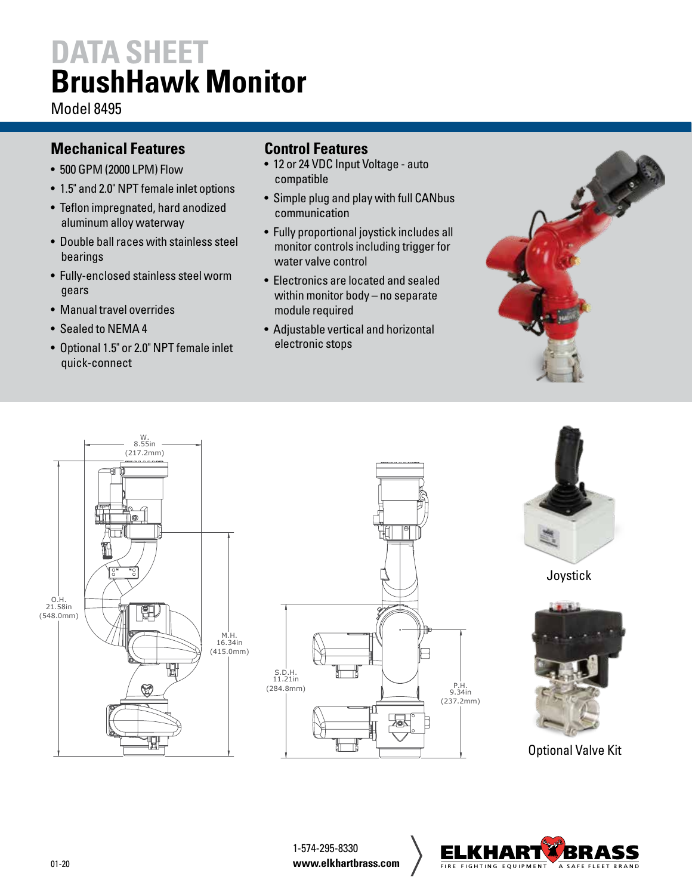# **DATA SHEET BrushHawk Monitor**

Model 8495

### **Mechanical Features**

- 500 GPM (2000 LPM) Flow
- 1.5" and 2.0" NPT female inlet options
- Teflon impregnated, hard anodized aluminum alloy waterway
- Double ball races with stainless steel bearings
- Fully-enclosed stainless steel worm gears
- Manual travel overrides
- Sealed to NEMA 4
- Optional 1.5" or 2.0" NPT female inlet quick-connect

#### **Control Features**

- 12 or 24 VDC Input Voltage auto compatible
- Simple plug and play with full CANbus communication
- Fully proportional joystick includes all monitor controls including trigger for water valve control
- Electronics are located and sealed within monitor body – no separate module required
- Adjustable vertical and horizontal electronic stops









Joystick



Optional Valve Kit